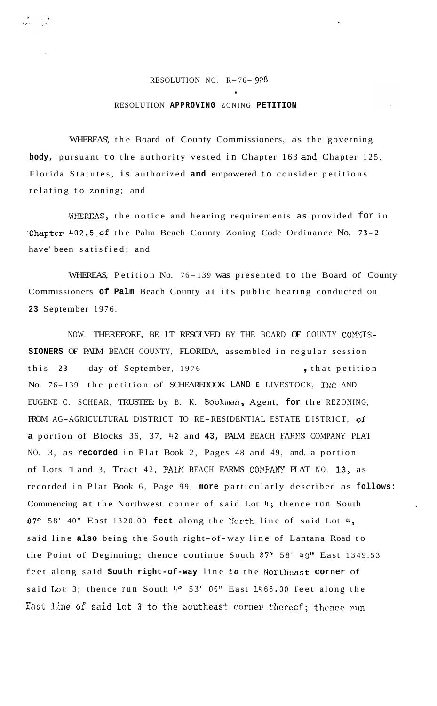## RESOLUTION NO. R-76- *<sup>928</sup>*

ور<br>امراز البراز

**1** 

## RESOLUTION **APPROVING** ZONING **PETITION**

WHEREAS', the Board of County Commissioners, as the governing body, pursuant to the authority vested in Chapter 163 and Chapter 125, Florida Statutes, is authorized **and** empowered to consider petitions relating to zoning; and

VHEREAS, the notice and hearing requirements as provided for in .Chapter **402.5,of** the Palm Beach County Zoning Code Ordinance No. **7 3 - <sup>2</sup>** have' been satisfied; and

WHEREAS, Petition No. 76- 139 was presented to the Board of County Commissioners **of Palm** Beach County at its public hearing conducted on **23** September 1976.

NOW, THEREFORE, BE IT RESOLVED BY THE BOARD OF COUNTY COMMIS-**SIONERS** OF PALM BEACH COUNTY, FLORIDA, assembled in regular session this 23 day of September, 1976 , that petition No. 76- 139 the petition of SCHEAREROOK LAND **E** LIVESTOCK, INC AND EUGENE C. SCHEAR, TRUSTEE: by B. K. Bookman, Agent, **for** the REZONING, FROM AG-AGRICULTURAL DISTRICT TO RE-RESIDENTIAL ESTATE DISTRICT, **of a** portion of Blocks 36, 37, 42 and 43, PALM BEACH FARMS COMPANY PLAT NO. 3, as **recorded** in Plat Book 2, Pages 48 and 49, and. a portion of Lots 1 and 3, Tract 42, PALM BEACH FARMS COMPANY PLAT NO. 13, as recorded in Plat Book 6, Page 99, **more** particularly described as **follows:**  Commencing at the Northwest corner of said Lot 4; thence run South 87° 58' 40" East 1320.00 feet along the North line of said Lot 4, said line **also** being the South right-of-way line of Lantana Road to the Point of Deginning; thence continue South 87° 58' 40" East 1349.53 feet along said **South right-of-way** line to the Northeast corner of said Lot 3; thence run South <sup>40</sup> 53' 06" East 1466.30 feet along the East line of said Lot 3 to the Southeast corner thereof; thence run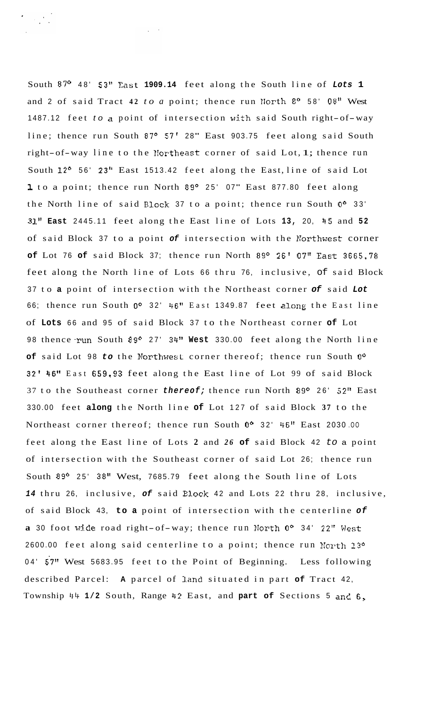South 87' 48' **53''** East **1909.14** feet along the South line of *Lots* **1**  and 2 of said Tract **42** *to a* point; thence run IIorth *8O* 58' 08" West 1487.12 feet *to* a point of intersection with said South right-of-way line; thence run South 87° 57' 28" East 903.75 feet along said South right-of-way line to the l!ortheast corner of said Lot, 1; thence run South 12<sup>o</sup> 56' 23" East 1513.42 feet along the East, line of said Lot 1 to a point; thence run North 89° 25' 07" East 877.80 feet along the North line of said Block 37 to a point; thence run South **Oo** 33' 31" **East** 2445.11 feet along the East line of Lots 13, 20, 45 and 52 of said Block 37 to a point *of* intersection with the Korthwest corner **of** Lot 76 **of** said Block 37; thence run North 89° 26' 07" East 3665.78 feet along the North line of Lots 66 thru 76, inclusive, of said Block <sup>37</sup>to **a** point of intersection with the Northeast corner *of* said *Lot*  66; thence run South **Oo** 32' 46'' East 1349.87 feet along the East line of **Lots** 66 and 95 of said Block 37 to the Northeast corner **of** Lot 98 thence run South 89° 27' 34" West 330.00 feet along the North line **of** said Lot 98 *to* the Northwest corner thereof; thence run South **Oo**  32' 46l' East 659,93 feet along the East line of Lot 99 of said Block 37 to the Southeast corner *thereof;* thence run North 89° 26' 52" East 330.00 feet **along** the North line **of** Lot 127 of said Block **37** to the Northeast corner thereof; thence run South **Oo** 32' 46" East 2030 .OO feet along the East line of Lots **2** and *26* **of** said Block 42 *to* a point of intersection with the Southeast corner of said Lot 26; thence run South 89<sup>o</sup> 25' 38" West, 7685.79 feet along the South line of Lots *14* thru 26, inclusive, *of* said Elock 42 and Lots 22 thru 28, inclusive, of said Block 43, **to a** point of intersection with the centerline *of*  **a** 30 foot wide road right-of-way; thence run North 0° 34' 22" West 2600.00 feet along said centerline to a point; thence run North 13º 04' 57" West 5683.95 feet to the Point of Beginning. Less following described Parcel: **A** parcel of land situated in part **of** Tract 42, Township **44 1/2** South, Range 42 East, and **part of** Sections 5 and 6,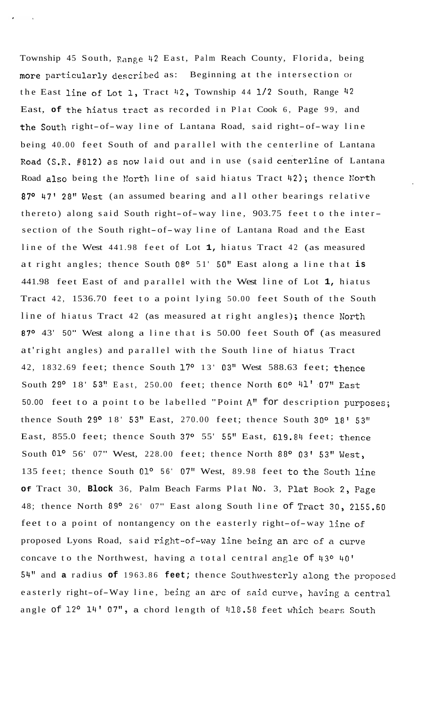Township 45 South, Range 42 East, Palm Reach County, Florida, being more particularly described as: Beginning at the intersection Of the East line of Lot **1,** Tract 42, Township 44 1/2 South, Range 42 East, **of** the hiatus tract as recorded in Plat Cook 6, Page 99, and the South right-of-way line of Lantana Road, said right-of-way line being 40.00 feet South of and parallel with the centerline of Lantana Road (S.R. #812) as now laid out and in use (said centerline of Lantana Road also being the North line of said hiatus Tract 42); thence North 87° 47' 28" West (an assumed bearing and all other bearings relative thereto) along said South right-of-way line, 903.75 feet to the inter section of the South right-of-way line of Lantana Road and the East line of the West 441.98 feet of Lot **1,** hiatus Tract 42 (as measured at right angles; thence South 08<sup>o</sup> 51' 50" East along a line that is 441.98 feet East of and parallel with the West line of Lot **1,** hiatus Tract 42, 1536.70 feet to a point lying 50.00 feet South of the South line of hiatus Tract 42 (as measured at right angles); thence North 87° 43' 50" West along a line that is 50.00 feet South of (as measured at' right angles) and parallel with the South line of hiatus Tract 42, 1832.69 feet; thence South **17O** 13' 03" West 588.63 feet; thence South 29<sup>o</sup> 18' 53" East, 250.00 feet; thence North 60<sup>o 41</sup>' 07" East 50.00 feet to a point to be labelled "Point **A"** for description **purposes;**  thence South **29O** 18' **53''** East, 270.00 feet; thence South 30° 18' 53" East, 855.0 feet; thence South  $37^{\circ}$  55' 55" East, 619.84 feet; thence South  $01^{\circ}$  56' 07" West, 228.00 feet; thence North 88° 03' 53" West, 135 feet; thence South **0lo** 56' 07" West, 89.98 feet to the South line **Of** Tract 30, **Block** 36, Palm Beach Farms Plat No. 3, Plat **Book** 2, Page 48; thence North 89O 26' 07" East along South line of Tract *30,* 2155.60 feet to a point of nontangency on the easterly right-of-way line of proposed Lyons Road, said right-of-way line being an arc of a curve concave to the Northwest, having **a** total central angle of *1130* 40' 54" and a radius of 1963.86 feet; thence Southwesterly along the proposed easterly right-of-Way line, being an arc of said curve, having a central angle of 12° 14' 07", a chord length of 418.58 feet which bears South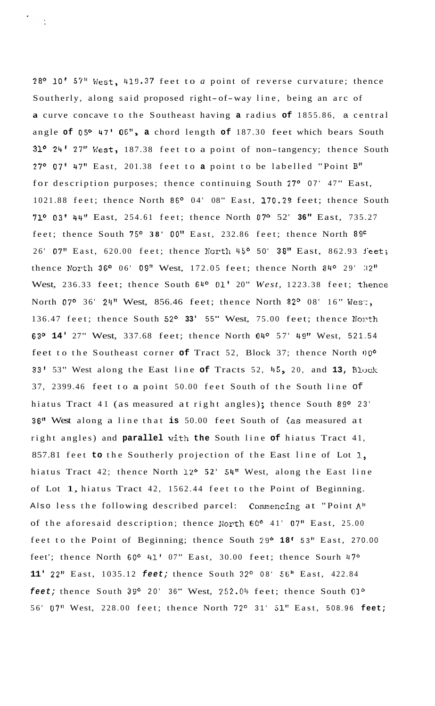28' **10'** 57" West, 419.37 feet to *a* point of reverse curvature; thence Southerly, along said proposed right-of-way line, being an arc of **a** curve concave to the Southeast having **a** radius **of** 1855.86, a central angle **of** 05O 47' OE", **a** chord length **of** 187.30 feet which bears South 31<sup>o</sup> 24' 27" West, 187.38 feet to a point of non-tangency; thence South 27O 07' 47" East, 201.38 feet to **a** point to be labelled "Point B" for description purposes; thence continuing South 27° 07' 47" East, 1021.88 feet; thence North 86° 04' 08" East, 170.29 feet; thence South 71O **03'** 44?? East, 254.61 feet; thence North 87O 52' **36"** East, 735.27 feet; thence South 75° 38' 00" East, 232.86 feet; thence North 89<sup>c</sup> 26' 07" East, 620.00 feet; thence North 45° 50' 38" East, 862.93 feet; thence North 36° 06' 09" West,  $172.05$  feet; thence North  $84^{\circ}$  29' 32" West, 236.33 feet; thence South 64° 01' 20" West, 1223.38 feet; thence North 07° 36' 24" West, 856.46 feet; thence North 82° 08' 16" Wes:, 136.47 feet; thence South 52° 33' 55" West, 75.00 feet; thence Nonth 63O **14'** 27" West, 337.68 feet; thence North 04O 57' 49!' West, 521.54 feet to the Southeast corner of Tract 52, Block 37; thence North  $0^{\circ}$ **33'** 53" West along the East line of Tracts 52, 45, 20, and 13, Block 37, 2399.46 feet to a point 50.00 feet South of the South line of hiatus Tract 41 (as measured at right angles); thence South 89° 23' **36"** West along a line that **is** 50.00 feet South of (as measured at right angles) and **parallel** with **the** South line **of** hiatus Tract 41, 857.81 feet **to** the Southerly projection of the East line of Lot **I,**  hiatus Tract 42; thence North 12° 52' 54" West, along the East line of Lot 1, hiatus Tract 42, 1562.44 feet to the Point of Beginning. Also less the following described parcel: Commencing at "Point **A''**  of the aforesaid description; thence North 60° 41' 07" East, 25.00 feet to the Point of Beginning; thence South 29° 18' 53" East, 270.00 feet'; thence North 60° 41' 07" East, 30.00 feet; thence Sourh 47° 11' 22" East, 1035.12 *feet;* thence South 32° 08' 56" East, 422.84 *feet;* thence South 39° 20' 36" West, 252.04 feet; thence South 01° 56' 07" West, 228.00 feet; thence North 72' 31' **51"** East, 508.96 **feet;**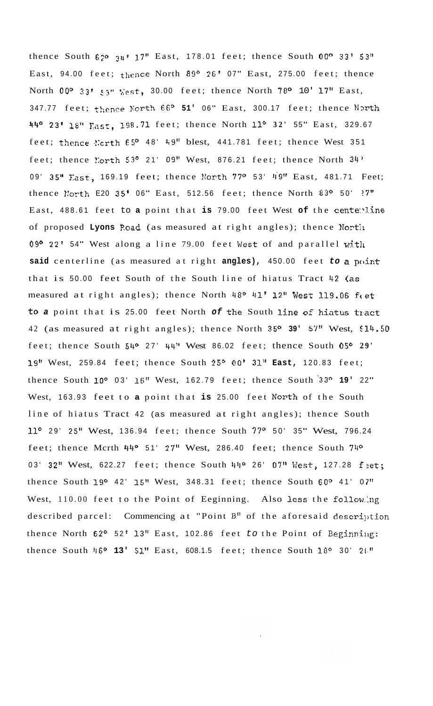thence South  $62^{\circ}$   $34!$  17" East, 178.01 feet; thence South 00° 33' 53" East, 94.00 feet; thence North 89° 26' 07" East, 275.00 feet; thence North 00° 33' 53" Kest, 30.00 feet; thence North 78° 10' 17" East, 347.77 feet; thence North 66° 51' 06" East, 300.17 feet; thence North **44O** 23' **18"** ~ast, 198.71 feet; thence North **1l0 32'** 5 5" East, 329.67 feet; thence  $l$ :crth  $65^{\circ}$  48' 49" blest, 441.781 feet; thence West 351 feet; thence  $l'orth$  53° 21' 09" West, 876.21 feet; thence North  $34'$ 09' 35" East, 169.19 feet; thence North 77° 53' 49" East, 481.71 Feet; thence North E20 35' 06" East, 512.56 feet; thence North 83° 50'  $?7"$ East, 488.61 feet to a point that is 79.00 feet West of the cente:line of proposed Lyons Road (as measured at right angles); thence North 09° 22' 54" West along a line 79.00 feet West of and parallel with **said** centerline (as measured at right **angles),** 450.00 feet *to a* point that is 50.00 feet South of the South line of hiatus Tract 42 **(as**  measured at right angles); thence North 48° 41' 12" West 119.06 feet to a point that is 25.00 feet North of the South line of hiatus tract 42 (as measured at right angles); thence North **35' 39'** 57'' West, \$14.50 feet; thence South 54° 27' 44" West 86.02 feet; thence South 05° 29' 19" West, 259.84 feet; thence South 25° 00' 31" East, 120.83 feet; thence South loo 03' **16"** West, 162.79 feet; thence South **'33O 19'** 22" West, 163.93 feet to a point that is 25.00 feet North of the South line of hiatus Tract 42 (as measured at right angles); thence South 11° 29' 25" West, 136.94 feet; thence South 77° 50' 35" West, 796.24 feet; thence Mcrth  $44^{\circ}$  51' 27" West, 286.40 feet; thence South  $74^{\circ}$ 03' 32" West, 622.27 feet; thence South 44° 26' 07" West, 127.28 feet; thence South 19O 42' **15"** West, 348.31 feet; thence South *60°* 41' 0 **7"**  West, 110.00 feet to the Point of Eeginning. Also **less** the follow.hg described parcel: Commencing at "Point  $B''$  of the aforesaid description thence North 62° 52' 13" East, 102.86 feet to the Point of Beginning: thence South 46° 13' 51" East, 608.1.5 feet; thence South 18° 30' 26"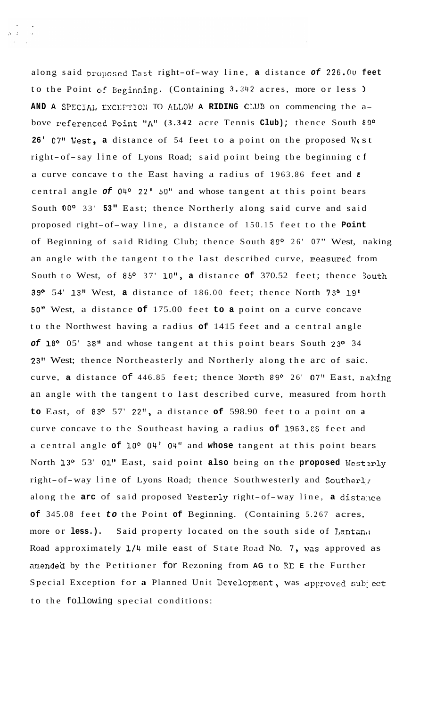along said proposed East right-of-way line, a distance of 226.00 feet to the Point of Beginning. (Containing 3.342 acres, more or less) AND A SPECIAL EXCEPTION TO ALLOW A RIDING CLUB on commencing the above referenced Point "A" (3.342 acre Tennis Club); thence South 89° 26' 07" West, a distance of 54 feet to a point on the proposed West right- of-say line of Lyons Road; said point being the beginning **cf**  a curve concave to the East having a radius of 1963.86 feet and **<sup>3</sup>** central angle *of 04O* 22' 50" and whose tangent at this point bears South **OOo** 33' **53"** East; thence Northerly along said curve and said proposed right-of-way line, a distance of 150.15 feet to the **Point**  of Beginning of said Riding Club; thence South 89º 26' 07" West, naking an angle with the tangent to the last described curve, measured from South to West, of 85° 37' 10", a distance of 370.52 feet; thence South **39O** 54' **13"** West, **a** distance of 186.00 feet; thence North **73O 19'**  50" West, a distance **of** 175.00 feet **to a** point on a curve concave to the Northwest having a radius **of** 1415 feet and a central angle *of* **18O** 05' **38"** and whose tangent at this point bears South 23O 34 **23"** West; thence Northeasterly and Northerly along the arc of saic. curve, **a** distance of 446.85 feet; thence Morth **89O** 26' 07" East, naking an angle with the tangent to last described curve, measured from horth **to** East, of **83O** 57' 22", a distance **of** 598.90 feet to a point on **a**  curve concave to the Southeast having a radius **of 1963.CG** feet and a central angle **of** loo 04' 04" and **whose** tangent at this point bears North 13º 53'  $01$ <sup>"</sup> East, said point also being on the proposed Westerly right-of-way line of Lyons Road; thence Southwesterly and Southerly along the arc of said proposed Westerly right-of-way line, a distance **of** 345.08 feet *to* the Point **of** Beginning. (Containing 5.267 acres, more or less.). Said property located on the south side of Lantana Road approximately 1/4 mile east of State Road No. 7, was approved as amendea by the Petitioner for Rezoning from **AG** to RE **E** the Further Special Exception for a Planned Unit Development, was approved sub<sup>1</sup>ect to the following special conditions: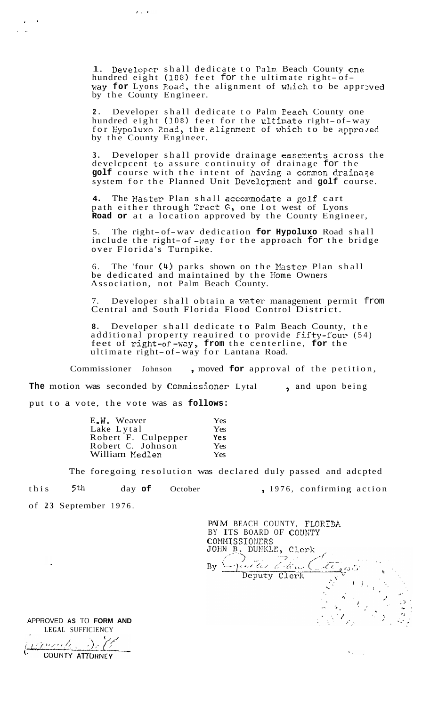1. Developer shall dedicate to Palm Beach County one 1. Developer shall dedicate to raim beach County of the ultimate right- of way for Lyons Poad, the alignment of which to be approved by the County Engineer.

**2.** Developer shall dedicate to Palm Peach County one hundred eight **(108)** feet for the ultimate right-of-way for Hypoluxo Road, the alignment of which to be approved by the County Engineer.

**3.** Developer shall provide drainage easerents across the develcpcent to assure continuity of drainage for the golf course with the intent of having a common drainage system for the Planned Unit Development and golf course.

4. The Master Plan shall accommodate a golf cart path either through Tract *G,* one lot west of Lyons **Road or** at a location approved by the County Engineer,

5. The right-of-wav dedication **for Hypoluxo** Road shall include the right-of-way for the approach for the bridge over Florida's Turnpike.

6. The 'four (4) parks shown on the Master Plan shall be dedicated and maintained by the Home Owners Association, not Palm Beach County.

Developer shall obtain a water management permit from Central and South Florida Flood Control District.

**8.** Developer shall dedicate to Palm Beach County, the additional property reauired to provide fifty-four. (54) feet of right-of-way, from the centerline, for the ultimate right-of-way for Lantana Road.

Commissioner Johnson , moved **for** approval of the petition, The motion was seconded by Commissioner Lytal , and upon being put to a vote, the vote was as **follows:** 

| E.W. Weaver         | Yes |
|---------------------|-----|
| Lake Lytal          | Yes |
| Robert F. Culpepper | Yes |
| Robert C. Johnson   | Yes |
| William Medlen      | Yes |

 $\epsilon$  . . .

The foregoing resolution was declared duly passed and adcpted

this 5<sup>th</sup> day of October , 1976, confirming action

 $\lambda$  is  $\lambda$  .

of **23** September 1976.

**.a** 

. ..

PALM BEACH COUNTY, FLORIDA BY ITS BOARD OF couwry COMMISSIONERS<br>JOHN B. DUNKLE, Clerk aude travel Deputy Clerk

**LEGAL** SUFFICIENCY <u>vermales</u> Se COUNTY ATTORNEY

APPROVED **AS** TO **FORM AND**